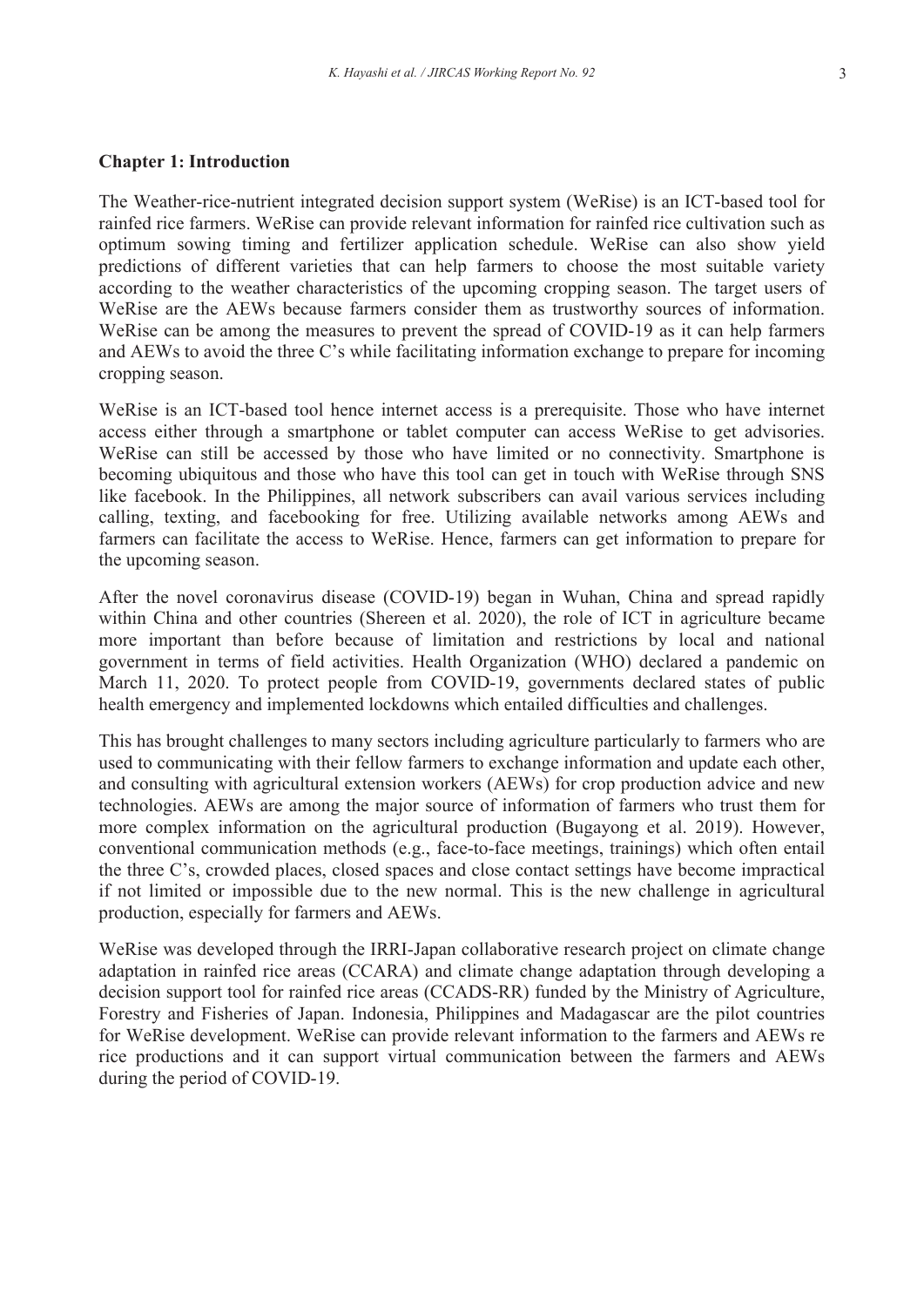### **Chapter 1: Introduction**

The Weather-rice-nutrient integrated decision support system (WeRise) is an ICT-based tool for rainfed rice farmers. WeRise can provide relevant information for rainfed rice cultivation such as optimum sowing timing and fertilizer application schedule. WeRise can also show yield predictions of different varieties that can help farmers to choose the most suitable variety according to the weather characteristics of the upcoming cropping season. The target users of WeRise are the AEWs because farmers consider them as trustworthy sources of information. WeRise can be among the measures to prevent the spread of COVID-19 as it can help farmers and AEWs to avoid the three C's while facilitating information exchange to prepare for incoming cropping season.

WeRise is an ICT-based tool hence internet access is a prerequisite. Those who have internet access either through a smartphone or tablet computer can access WeRise to get advisories. WeRise can still be accessed by those who have limited or no connectivity. Smartphone is becoming ubiquitous and those who have this tool can get in touch with WeRise through SNS like facebook. In the Philippines, all network subscribers can avail various services including calling, texting, and facebooking for free. Utilizing available networks among AEWs and farmers can facilitate the access to WeRise. Hence, farmers can get information to prepare for the upcoming season.

After the novel coronavirus disease (COVID-19) began in Wuhan, China and spread rapidly within China and other countries (Shereen et al. 2020), the role of ICT in agriculture became more important than before because of limitation and restrictions by local and national government in terms of field activities. Health Organization (WHO) declared a pandemic on March 11, 2020. To protect people from COVID-19, governments declared states of public health emergency and implemented lockdowns which entailed difficulties and challenges.

This has brought challenges to many sectors including agriculture particularly to farmers who are used to communicating with their fellow farmers to exchange information and update each other, and consulting with agricultural extension workers (AEWs) for crop production advice and new technologies. AEWs are among the major source of information of farmers who trust them for more complex information on the agricultural production (Bugayong et al. 2019). However, conventional communication methods (e.g., face-to-face meetings, trainings) which often entail the three C's, crowded places, closed spaces and close contact settings have become impractical if not limited or impossible due to the new normal. This is the new challenge in agricultural production, especially for farmers and AEWs.

WeRise was developed through the IRRI-Japan collaborative research project on climate change adaptation in rainfed rice areas (CCARA) and climate change adaptation through developing a decision support tool for rainfed rice areas (CCADS-RR) funded by the Ministry of Agriculture, Forestry and Fisheries of Japan. Indonesia, Philippines and Madagascar are the pilot countries for WeRise development. WeRise can provide relevant information to the farmers and AEWs re rice productions and it can support virtual communication between the farmers and AEWs during the period of COVID-19.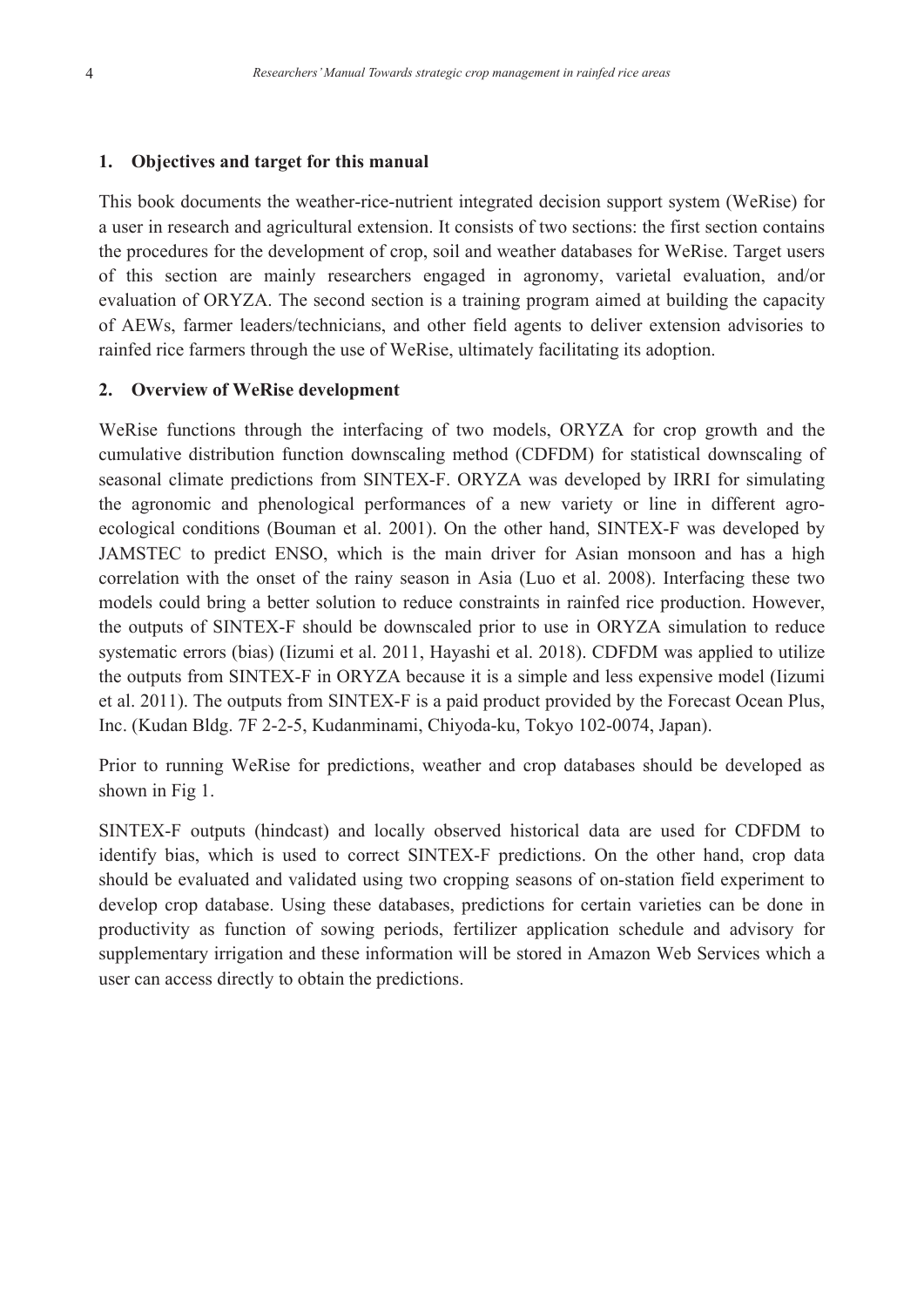### **1. Objectives and target for this manual**

This book documents the weather-rice-nutrient integrated decision support system (WeRise) for a user in research and agricultural extension. It consists of two sections: the first section contains the procedures for the development of crop, soil and weather databases for WeRise. Target users of this section are mainly researchers engaged in agronomy, varietal evaluation, and/or evaluation of ORYZA. The second section is a training program aimed at building the capacity of AEWs, farmer leaders/technicians, and other field agents to deliver extension advisories to rainfed rice farmers through the use of WeRise, ultimately facilitating its adoption.

### **2. Overview of WeRise development**

WeRise functions through the interfacing of two models, ORYZA for crop growth and the cumulative distribution function downscaling method (CDFDM) for statistical downscaling of seasonal climate predictions from SINTEX-F. ORYZA was developed by IRRI for simulating the agronomic and phenological performances of a new variety or line in different agroecological conditions (Bouman et al. 2001). On the other hand, SINTEX-F was developed by JAMSTEC to predict ENSO, which is the main driver for Asian monsoon and has a high correlation with the onset of the rainy season in Asia (Luo et al. 2008). Interfacing these two models could bring a better solution to reduce constraints in rainfed rice production. However, the outputs of SINTEX-F should be downscaled prior to use in ORYZA simulation to reduce systematic errors (bias) (Iizumi et al. 2011, Hayashi et al. 2018). CDFDM was applied to utilize the outputs from SINTEX-F in ORYZA because it is a simple and less expensive model (Iizumi et al. 2011). The outputs from SINTEX-F is a paid product provided by the Forecast Ocean Plus, Inc. (Kudan Bldg. 7F 2-2-5, Kudanminami, Chiyoda-ku, Tokyo 102-0074, Japan).

Prior to running WeRise for predictions, weather and crop databases should be developed as shown in Fig 1.

SINTEX-F outputs (hindcast) and locally observed historical data are used for CDFDM to identify bias, which is used to correct SINTEX-F predictions. On the other hand, crop data should be evaluated and validated using two cropping seasons of on-station field experiment to develop crop database. Using these databases, predictions for certain varieties can be done in productivity as function of sowing periods, fertilizer application schedule and advisory for supplementary irrigation and these information will be stored in Amazon Web Services which a user can access directly to obtain the predictions.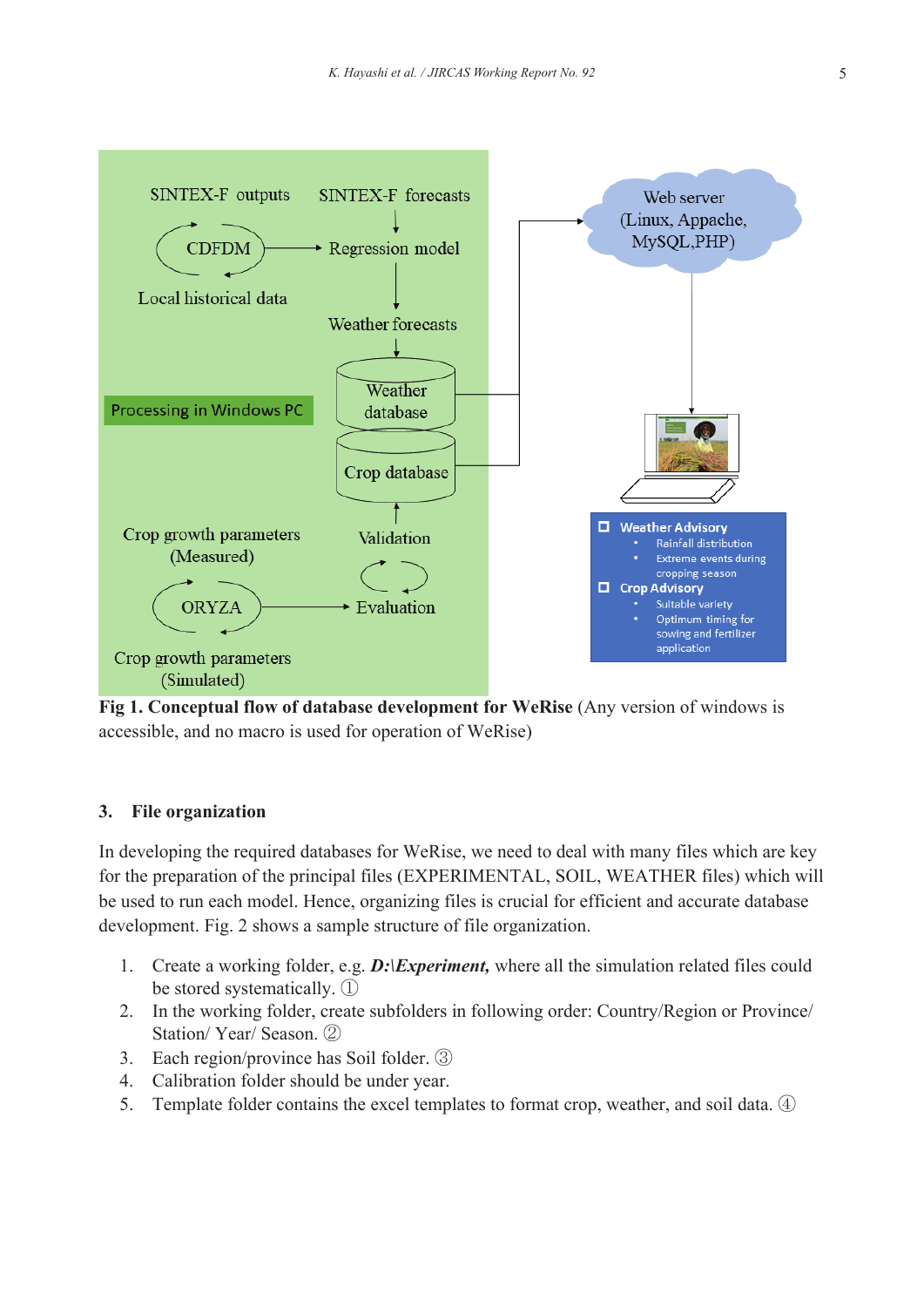

**Fig 1. Conceptual flow of database development for WeRise** (Any version of windows is accessible, and no macro is used for operation of WeRise)

## **3. File organization**

In developing the required databases for WeRise, we need to deal with many files which are key for the preparation of the principal files (EXPERIMENTAL, SOIL, WEATHER files) which will be used to run each model. Hence, organizing files is crucial for efficient and accurate database development. Fig. 2 shows a sample structure of file organization.

- 1. Create a working folder, e.g. *D:\Experiment,* where all the simulation related files could be stored systematically. ①
- 2. In the working folder, create subfolders in following order: Country/Region or Province/ Station/ Year/ Season. ②
- 3. Each region/province has Soil folder. ③
- 4. Calibration folder should be under year.
- 5. Template folder contains the excel templates to format crop, weather, and soil data. 4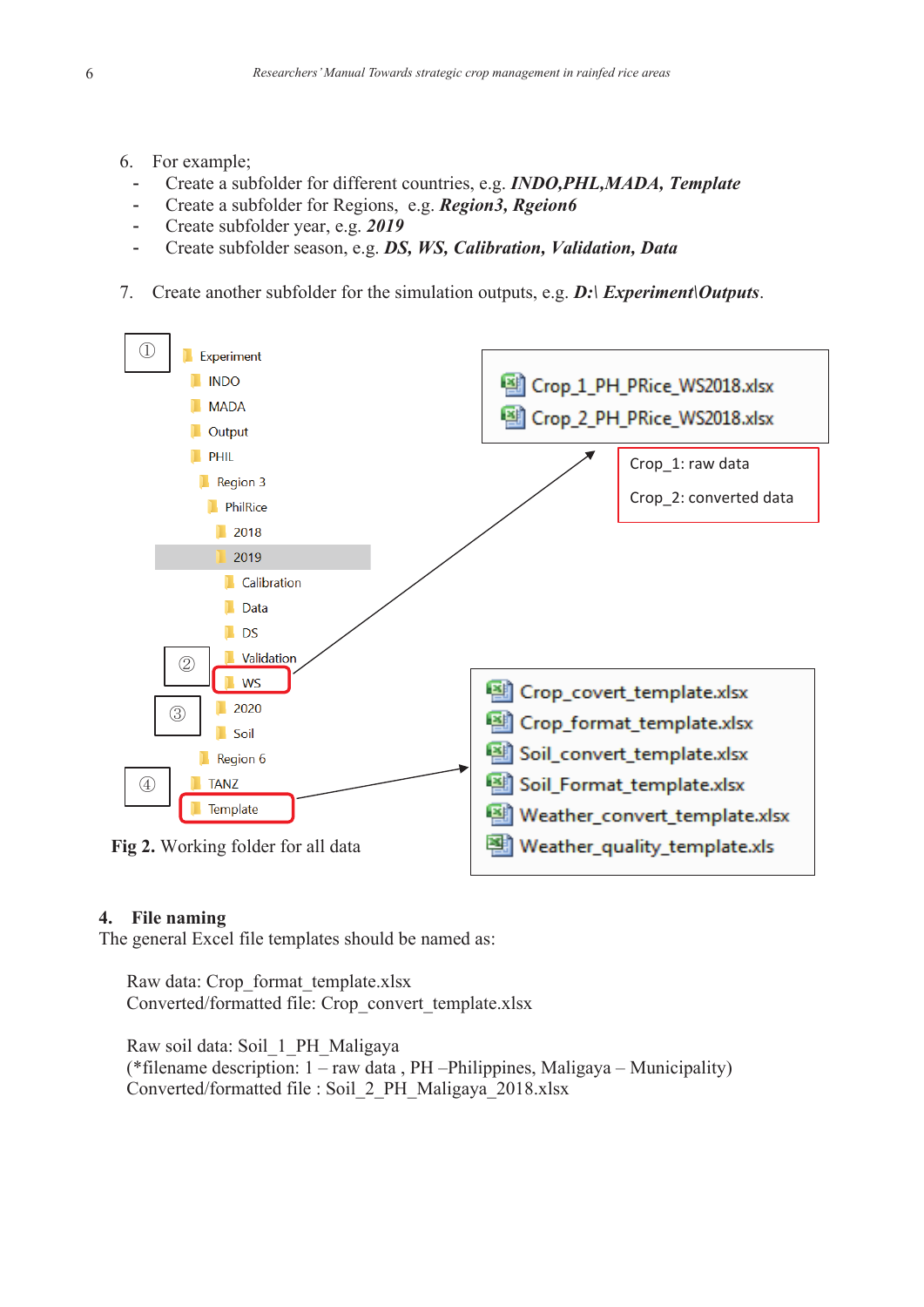- 6. For example;
	- Create a subfolder for different countries, e.g. *INDO,PHL,MADA, Template*
	- Create a subfolder for Regions, e.g. *Region3, Rgeion6*
	- Create subfolder year, e.g. *2019*
	- Create subfolder season, e.g. *DS, WS, Calibration, Validation, Data*
- 7. Create another subfolder for the simulation outputs, e.g. *D:\ Experiment\Outputs*.



#### **4. File naming**

The general Excel file templates should be named as:

Raw data: Crop\_format\_template.xlsx Converted/formatted file: Crop\_convert\_template.xlsx

Raw soil data: Soil\_1\_PH\_Maligaya (\*filename description: 1 – raw data , PH –Philippines, Maligaya – Municipality) Converted/formatted file : Soil\_2\_PH\_Maligaya\_2018.xlsx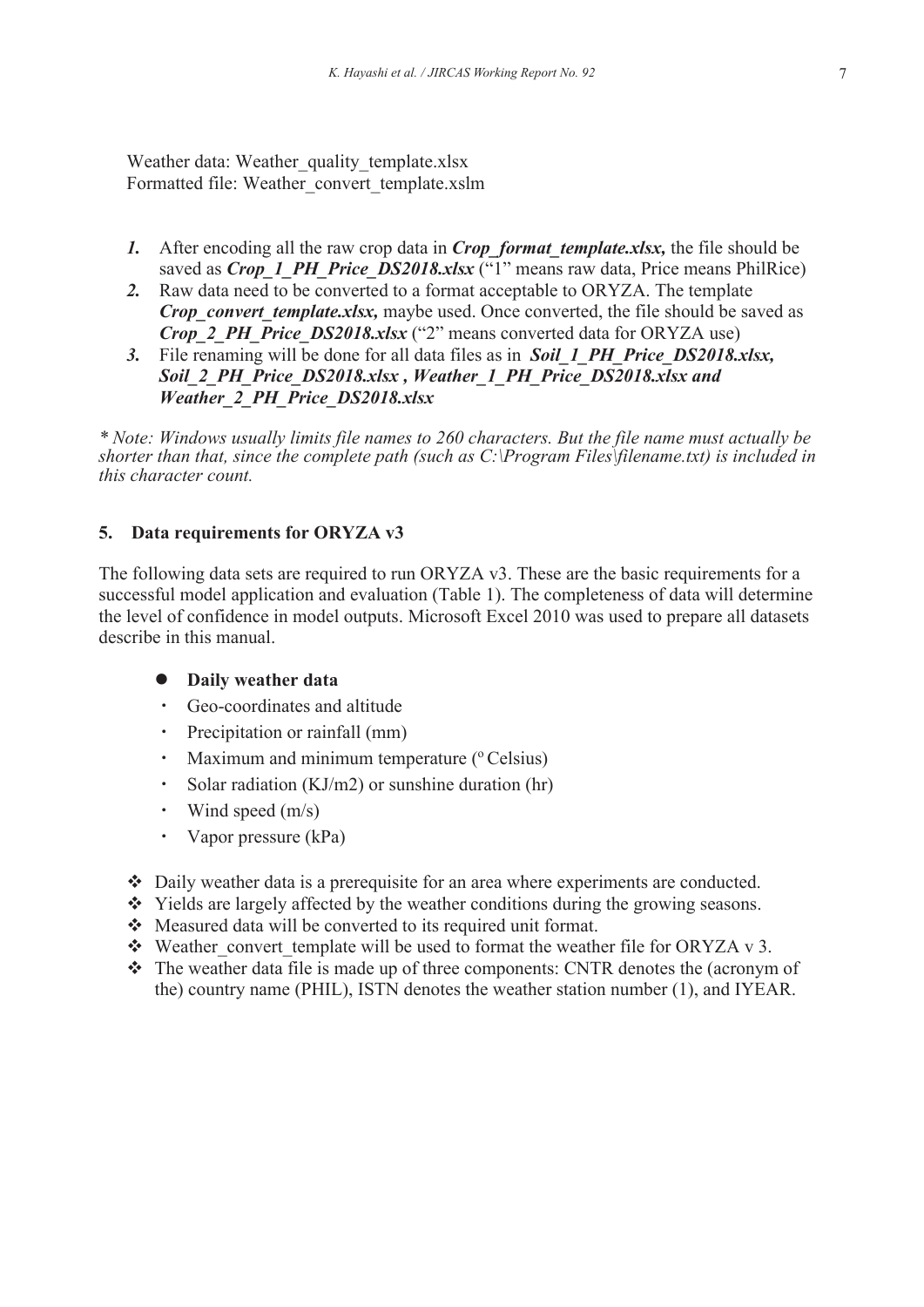Weather data: Weather quality template.xlsx Formatted file: Weather\_convert\_template.xslm

- *1.* After encoding all the raw crop data in *Crop format template.xlsx*, the file should be saved as *Crop\_1\_PH\_Price\_DS2018.xlsx* ("1" means raw data, Price means PhilRice)
- *2.* Raw data need to be converted to a format acceptable to ORYZA. The template *Crop\_convert\_template.xlsx,* maybe used. Once converted, the file should be saved as *Crop\_2\_PH\_Price\_DS2018.xlsx* ("2" means converted data for ORYZA use)
- *3.* File renaming will be done for all data files as in *Soil\_1\_PH\_Price\_DS2018.xlsx, Soil\_2\_PH\_Price\_DS2018.xlsx , Weather\_1\_PH\_Price\_DS2018.xlsx and Weather\_2\_PH\_Price\_DS2018.xlsx*

*\* Note: Windows usually limits file names to 260 characters. But the file name must actually be shorter than that, since the complete path (such as C:\Program Files\filename.txt) is included in this character count.*

## **5. Data requirements for ORYZA v3**

The following data sets are required to run ORYZA v3. These are the basic requirements for a successful model application and evaluation (Table 1). The completeness of data will determine the level of confidence in model outputs. Microsoft Excel 2010 was used to prepare all datasets describe in this manual.

## **Daily weather data**

- ・ Geo-coordinates and altitude
- ・ Precipitation or rainfall (mm)
- Maximum and minimum temperature  $(°Celsius)$
- Solar radiation  $(KJ/m2)$  or sunshine duration (hr)
- Wind speed  $(m/s)$
- Vapor pressure (kPa)
- Daily weather data is a prerequisite for an area where experiments are conducted.
- Yields are largely affected by the weather conditions during the growing seasons.
- Measured data will be converted to its required unit format.
- Weather convert template will be used to format the weather file for ORYZA v 3.
- \* The weather data file is made up of three components: CNTR denotes the (acronym of the) country name (PHIL), ISTN denotes the weather station number (1), and IYEAR.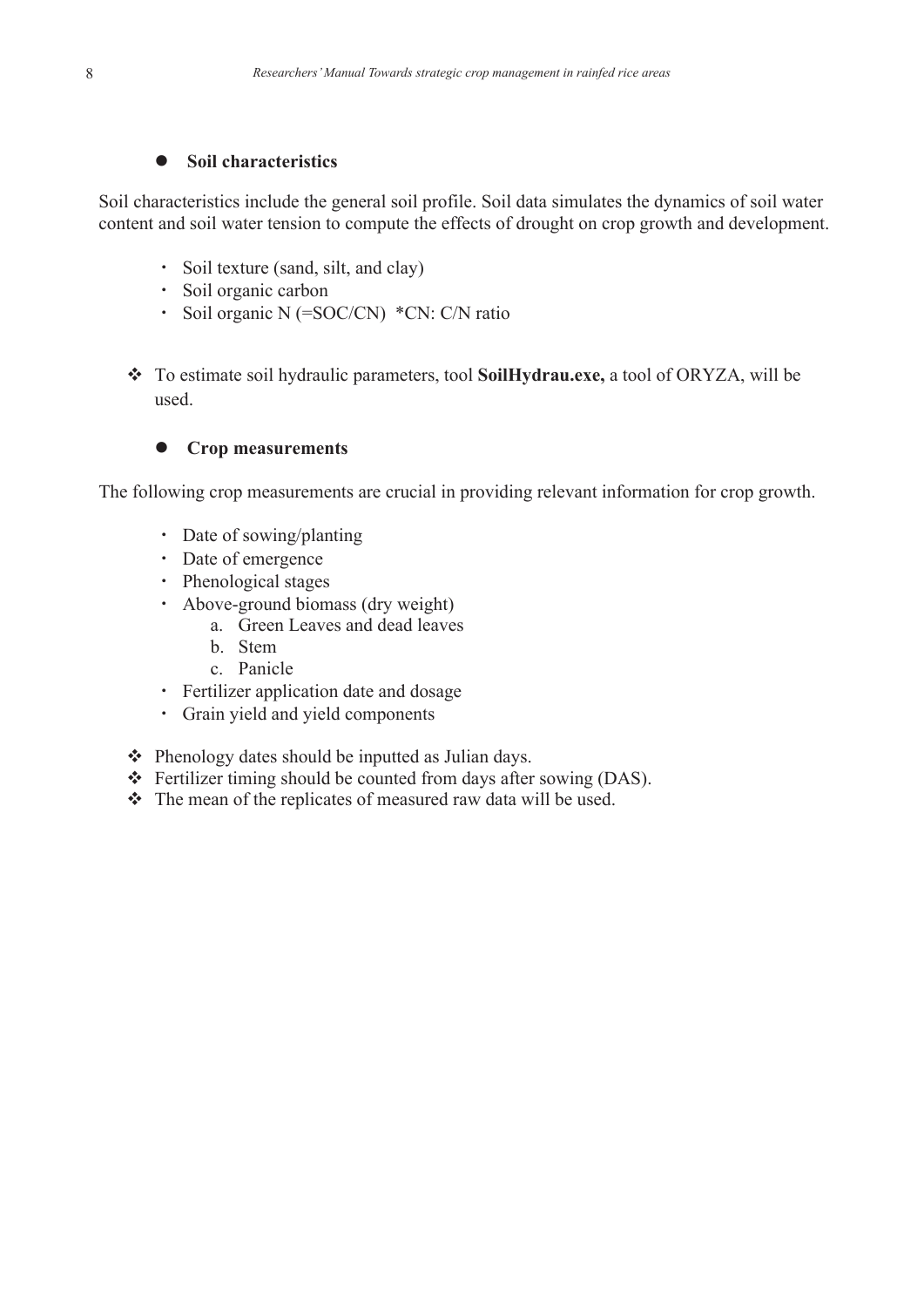# $\bullet$  Soil characteristics

Soil characteristics include the general soil profile. Soil data simulates the dynamics of soil water content and soil water tension to compute the effects of drought on crop growth and development.

- ・ Soil texture (sand, silt, and clay)
- ・ Soil organic carbon
- ・ Soil organic N (=SOC/CN) \*CN: C/N ratio
- To estimate soil hydraulic parameters, tool **SoilHydrau.exe,** a tool of ORYZA, will be used.

## **Crop measurements**

The following crop measurements are crucial in providing relevant information for crop growth.

- Date of sowing/planting
- ・ Date of emergence
- ・ Phenological stages
- ・ Above-ground biomass (dry weight)
	- a. Green Leaves and dead leaves
	- b. Stem
	- c. Panicle
- ・ Fertilizer application date and dosage
- ・ Grain yield and yield components
- ❖ Phenology dates should be inputted as Julian days.
- Fertilizer timing should be counted from days after sowing (DAS).
- \* The mean of the replicates of measured raw data will be used.